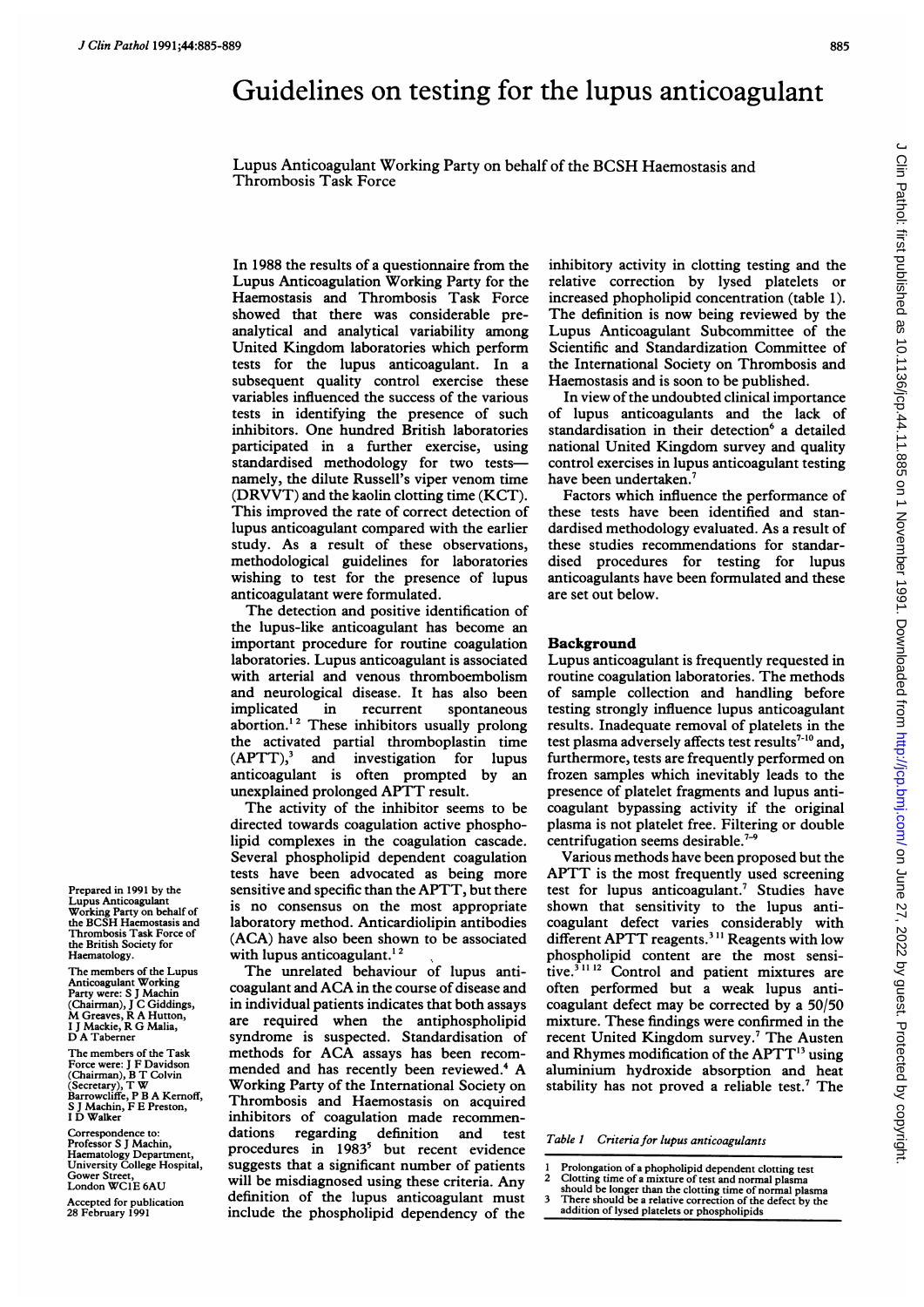# Guidelines on testing for the lupus anticoagulant

Lupus Anticoagulant Working Party on behalf of the BCSH Haemostasis and Thrombosis Task Force

In 1988 the results of a questionnaire from the Lupus Anticoagulation Working Party for the Haemostasis and Thrombosis Task Force showed that there was considerable preanalytical and analytical variability among United Kingdom laboratories which perform tests for the lupus anticoagulant. In a subsequent quality control exercise these variables influenced the success of the various tests in identifying the presence of such inhibitors. One hundred British laboratories participated in a further exercise, using standardised methodology for two testsnamely, the dilute Russell's viper venom time (DRVVT) and the kaolin clotting time (KCT). This improved the rate of correct detection of lupus anticoagulant compared with the earlier study. As a result of these observations, methodological guidelines for laboratories wishing to test for the presence of lupus anticoagulatant were formulated.

The detection and positive identification of the lupus-like anticoagulant has become an important procedure for routine coagulation laboratories. Lupus anticoagulant is associated with arterial and venous thromboembolism and neurological disease. It has also been implicated in recurrent spontaneous abortion.<sup>12</sup> These inhibitors usually prolong the activated partial thromboplastin time  $(APTT)$ , and investigation for lupus anticoagulant is often prompted by an unexplained prolonged APTT result.

The activity of the inhibitor seems to be directed towards coagulation active phospholipid complexes in the coagulation cascade. Several phospholipid dependent coagulation tests have been advocated as being more sensitive and specific than the APTT, but there is no consensus on the most appropriate laboratory method. Anticardiolipin antibodies (ACA) have also been shown to be associated with lupus anticoagulant.<sup>12</sup>

The unrelated behaviour of lupus anticoagulant and ACA in the course of disease and in individual patients indicates that both assays are required when the antiphospholipid syndrome is suspected. Standardisation of methods for ACA assays has been recommended and has recently been reviewed.<sup>4</sup> A Working Party of the International Society on Thrombosis and Haemostasis on acquired inhibitors of coagulation made recommendations regarding definition and test procedures in 1983<sup>3</sup> but recent evidence suggests that a significant number of patients will be misdiagnosed using these criteria. Any definition of the lupus anticoagulant must include the phospholipid dependency of the

inhibitory activity in clotting testing and the relative correction by lysed platelets or increased phopholipid concentration (table 1). The definition is now being reviewed by the Lupus Anticoagulant Subcommittee of the Scientific and Standardization Committee of the International Society on Thrombosis and Haemostasis and is soon to be published.

In view of the undoubted clinical importance of lupus anticoagulants and the lack of standardisation in their detection<sup>6</sup> a detailed national United Kingdom survey and quality control exercises in lupus anticoagulant testing have been undertaken.<sup>7</sup>

Factors which influence the performance of these tests have been identified and standardised methodology evaluated. As a result of these studies recommendations for standardised procedures for testing for lupus anticoagulants have been formulated and these are set out below.

#### Background

Lupus anticoagulant is frequently requested in routine coagulation laboratories. The methods of sample collection and handling before testing strongly influence lupus anticoagulant results. Inadequate removal of platelets in the test plasma adversely affects test results<sup>7-10</sup> and, furthermore, tests are frequently performed on frozen samples which inevitably leads to the presence of platelet fragments and lupus anticoagulant bypassing activity if the original plasma is not platelet free. Filtering or double centrifugation seems desirable.<sup>7-9</sup>

Various methods have been proposed but the APTT is the most frequently used screening test for lupus anticoagulant.<sup>7</sup> Studies have shown that sensitivity to the lupus anticoagulant defect varies considerably with different APTT reagents.<sup>311</sup> Reagents with low phospholipid content are the most sensitive.<sup>311 12</sup> Control and patient mixtures are often performed but a weak lupus anticoagulant defect may be corrected by a 50/50 mixture. These findings were confirmed in the recent United Kingdom survey.<sup>7</sup> The Austen and Rhymes modification of the APTT<sup>13</sup> using aluminium hydroxide absorption and heat stability has not proved a reliable test.<sup>7</sup> The

Table 1 Criteria for lupus anticoagulants

- 1 Prolongation of a phopholipid dependent clotting test<br>2 Clotting time of a mixture of test and normal plasma
- 2 Clotting time of a mixture of test and normal plasma should be longer than the clotting time of normal plasma
- 3 There should be a relative correction of the defect by the
- addition of lysed platelets or phospholipids

Prepared in 1991 by the Lupus Anticoagulant Working Party on behalf of the BCSH Haemostasis and Thrombosis Task Force of the British Society for Haematology.

The members of the Lupus Anticoagulant Working Party were: S J Machin (Chairman), <sup>J</sup> C Giddings, M Greaves, R A Hutton, <sup>I</sup> <sup>J</sup> Mackie, R G Malia, D A Taberner

The members of the Task Force were: <sup>J</sup> F Davidson (Chairman), B T Colvin (Secretary), T W Barrowcliffe, P B A Kernoff, S <sup>J</sup> Machin, F E Preston, <sup>I</sup> D Walker

Correspondence to Professor S J Machin, Haematology Department, University College Hospital, Gower Street, London WC1E 6AU

Accepted for publication 28 February 1991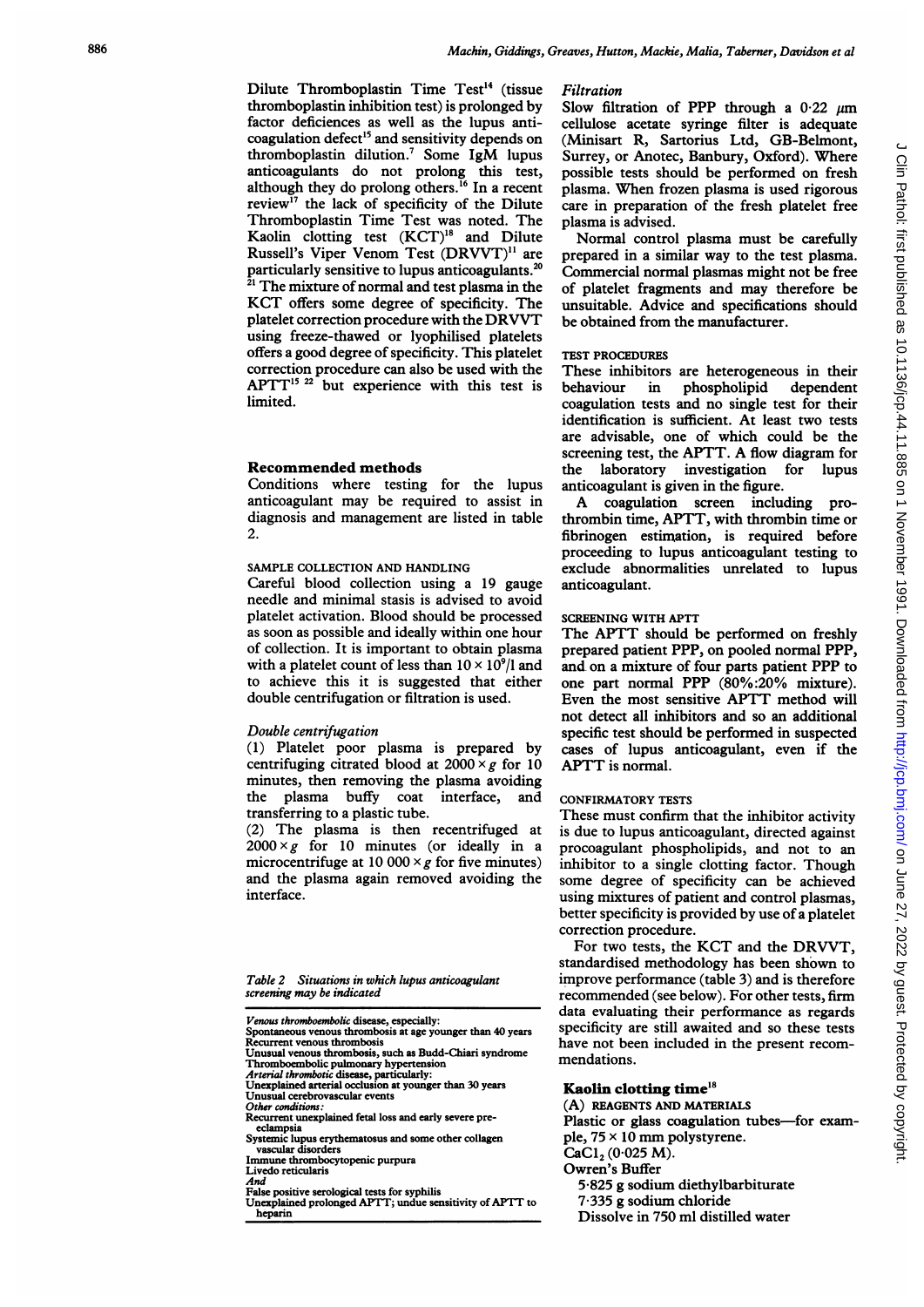Dilute Thromboplastin Time Test<sup>14</sup> (tissue thromboplastin inhibition test) is prolonged by factor deficiences as well as the lupus anticoagulation defect<sup>15</sup> and sensitivity depends on thromboplastin dilution.7 Some IgM lupus anticoagulants do not prolong this test, although they do prolong others.'6 In a recent review<sup>17</sup> the lack of specificity of the Dilute Thromboplastin Time Test was noted. The Kaolin clotting test (KCT)'8 and Dilute Russell's Viper Venom Test (DRVVT)" are particularly sensitive to lupus anticoagulants.20 <sup>21</sup> The mixture of normal and test plasma in the KCT offers some degree of specificity. The platelet correction procedure with the DRVVT using freeze-thawed or lyophilised platelets offers a good degree of specificity. This platelet correction procedure can also be used with the  $APTT^{15, 22}$  but experience with this test is limited.

#### Recommended methods

Conditions where testing for the lupus anticoagulant may be required to assist in diagnosis and management are listed in table 2.

# SAMPLE COLLECTION AND HANDLING

Careful blood collection using a 19 gauge needle and minimal stasis is advised to avoid platelet activation. Blood should be processed as soon as possible and ideally within one hour of collection. It is important to obtain plasma with a platelet count of less than  $10 \times 10^{9}/l$  and to achieve this it is suggested that either double centrifugation or filtration is used.

#### Double centrifugation

(1) Platelet poor plasma is prepared by centrifuging citrated blood at  $2000 \times g$  for 10 minutes, then removing the plasma avoiding the plasma buffy coat interface, and transferring to a plastic tube.

(2) The plasma is then recentrifuged at  $2000 \times g$  for 10 minutes (or ideally in a microcentrifuge at 10 000  $\times$  g for five minutes) and the plasma again removed avoiding the interface.

Table 2 Situations in which lupus anticoagulant screening may be indicated

- 
- 
- *Venous thromboembolic* disease, especially:<br>Spontaneous venous thrombosis at age younger than 40 years<br>Recurrent venous thrombosis Unusual venous thrombosis, such as Budd-Chiari syndrome Thromboembolic pulmonary hypertension
- 
- Arterial thrombotic disease, particularly: Unexplained arterial occlusion at younger than 30 years
- Unusual cerebrovascular events
- Other conditions:
- Recurrent unexplained fetal loss and early severe preeclampsia Systemic lupus erythematosus and some other collagen
- 
- vascular disorders Immune thrombocytopenic purpura
- Livedo reticularis
- And
- False positive serological tests for syphilis Unexplained prolonged APTT; undue sensitivity of APTT to hepann

#### Filtration

Slow filtration of PPP through a  $0.22 \mu m$ cellulose acetate syringe filter is adequate (Minisart R, Sartorius Ltd, GB-Belmont, Surrey, or Anotec, Banbury, Oxford). Where possible tests should be performed on fresh plasma. When frozen plasma is used rigorous care in preparation of the fresh platelet free plasma is advised.

Normal control plasma must be carefully prepared in a similar way to the test plasma. Commercial normal plasmas might not be free of platelet fragments and may therefore be unsuitable. Advice and specifications should be obtained from the manufacturer.

# TEST PROCEDURES

These inhibitors are heterogeneous in their behaviour in phospholipid dependent coagulation tests and no single test for their identification is sufficient. At least two tests are advisable, one of which could be the screening test, the APTT. A flow diagram for the laboratory investigation for lupus anticoagulant is given in the figure. <sup>A</sup> coagulation screen including pro-

thrombin time, APTT, with thrombin time or fibrinogen estination, is required before proceeding to lupus anticoagulant testing to exclude abnormalities unrelated to lupus anticoagulant.

#### SCREENING WITH APTT

The APTT should be performed on freshly prepared patient PPP, on pooled normal PPP, and on a mixture of four parts patient PPP to one part normal PPP (80%:20% mixture). Even the most sensitive APTT method will not detect all inhibitors and so an additional specific test should be performed in suspected cases of lupus anticoagulant, even if the APTT is normal.

#### CONFIRMATORY TESTS

These must confirm that the inhibitor activity is due to lupus anticoagulant, directed against procoagulant phospholipids, and not to an inhibitor to a single clotting factor. Though some degree of specificity can be achieved using mixtures of patient and control plasmas, better specificity is provided by use of a platelet correction procedure.

For two tests, the KCT and the DRVVT, standardised methodology has been shown to improve performance (table 3) and is therefore recommended (see below). For other tests, firm data evaluating their performance as regards specificity are still awaited and so these tests have not been included in the present recommendations.

#### Kaolin clotting time'8

(A) REAGENTS AND MATERIALS Plastic or glass coagulation tubes-for exam-

- ple,  $75 \times 10$  mm polystyrene.  $CaCl<sub>2</sub> (0.025 M).$
- Owren's Buffer
	- 5-825 g sodium diethylbarbiturate
	- 7-335 g sodium chloride
	- Dissolve in 750 ml distilled water

 $\epsilon$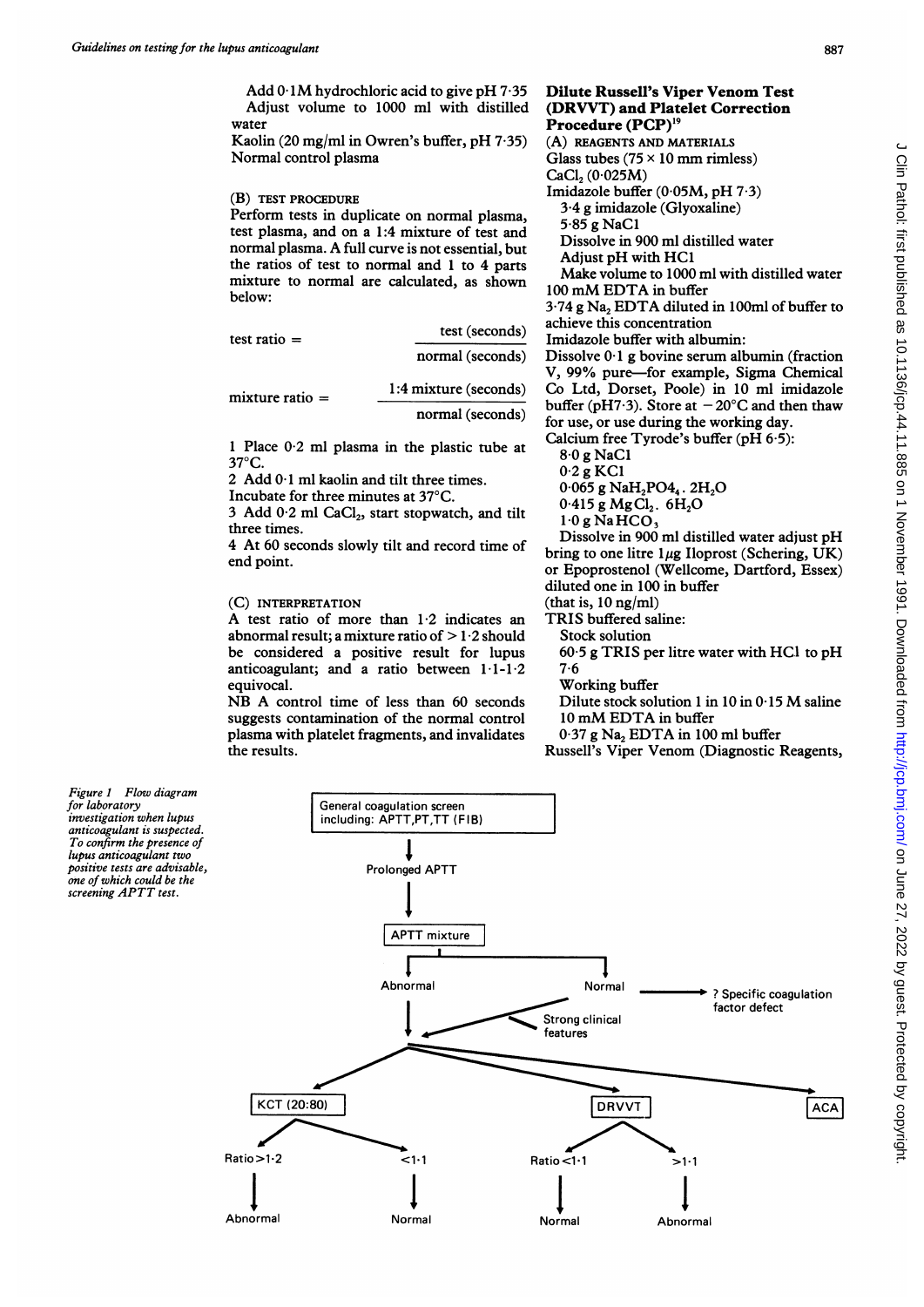Add  $0.1M$  hydrochloric acid to give pH  $7.35$ Adjust volume to 1000 ml with distilled water

Kaolin (20 mg/ml in Owren's buffer, pH 7-35) Normal control plasma

#### (B) TEST PROCEDURE

Perform tests in duplicate on normal plasma, test plasma, and on a 1:4 mixture of test and normal plasma. A full curve is not essential, but the ratios of test to normal and <sup>1</sup> to 4 parts mixture to normal are calculated, as shown below:

| test ratio $=$    | test (seconds)        |  |  |
|-------------------|-----------------------|--|--|
|                   | normal (seconds)      |  |  |
| $mixture ratio =$ | 1:4 mixture (seconds) |  |  |
|                   | normal (seconds)      |  |  |

<sup>1</sup> Place 0-2 ml plasma in the plastic tube at  $37^{\circ}$ C.

2 Add 0-1 ml kaolin and tilt three times.

Incubate for three minutes at 37°C.

3 Add  $0.2$  ml CaCl<sub>2</sub>, start stopwatch, and tilt three times.

4 At 60 seconds slowly tilt and record time of end point.

# (C) INTERPRETATION

A test ratio of more than 1-2 indicates an abnormal result; a mixture ratio of  $> 1.2$  should be considered a positive result for lupus anticoagulant; and a ratio between 1-1-1-2 equivocal.

NB A control time of less than <sup>60</sup> seconds suggests contamination of the normal control plasma with platelet fragments, and invalidates the results.



V, 99% pure-for example, Sigma Chemical Co Ltd, Dorset, Poole) in 10 ml imidazole buffer (pH7.3). Store at  $-20^{\circ}$ C and then thaw for use, or use during the working day. Calcium free Tyrode's buffer (pH 6-5):

8-0 g NaCl

0-2 g KC1

- $0.065$  g NaH<sub>2</sub>PO<sub>4</sub>, 2H<sub>2</sub>O
- $0.415$  g MgCl<sub>2</sub>.  $6H_2O$

 $1-0$ g Na $HCO<sub>3</sub>$ 

Dissolve in 900 ml distilled water adjust pH bring to one litre  $1\mu$ g Iloprost (Schering, UK) or Epoprostenol (Wellcome, Dartford, Essex) diluted one in 100 in buffer (that is,  $10$  ng/ml)

TRIS buffered saline:

- Stock solution
	- $60.5$  g TRIS per litre water with HCl to pH
	- 7-6

Working buffer

- Dilute stock solution <sup>1</sup> in <sup>10</sup> in 0-15 M saline <sup>10</sup> mM EDTA in buffer
- $0.37$  g Na<sub>2</sub> EDTA in 100 ml buffer
- Russell's Viper Venom (Diagnostic Reagents,

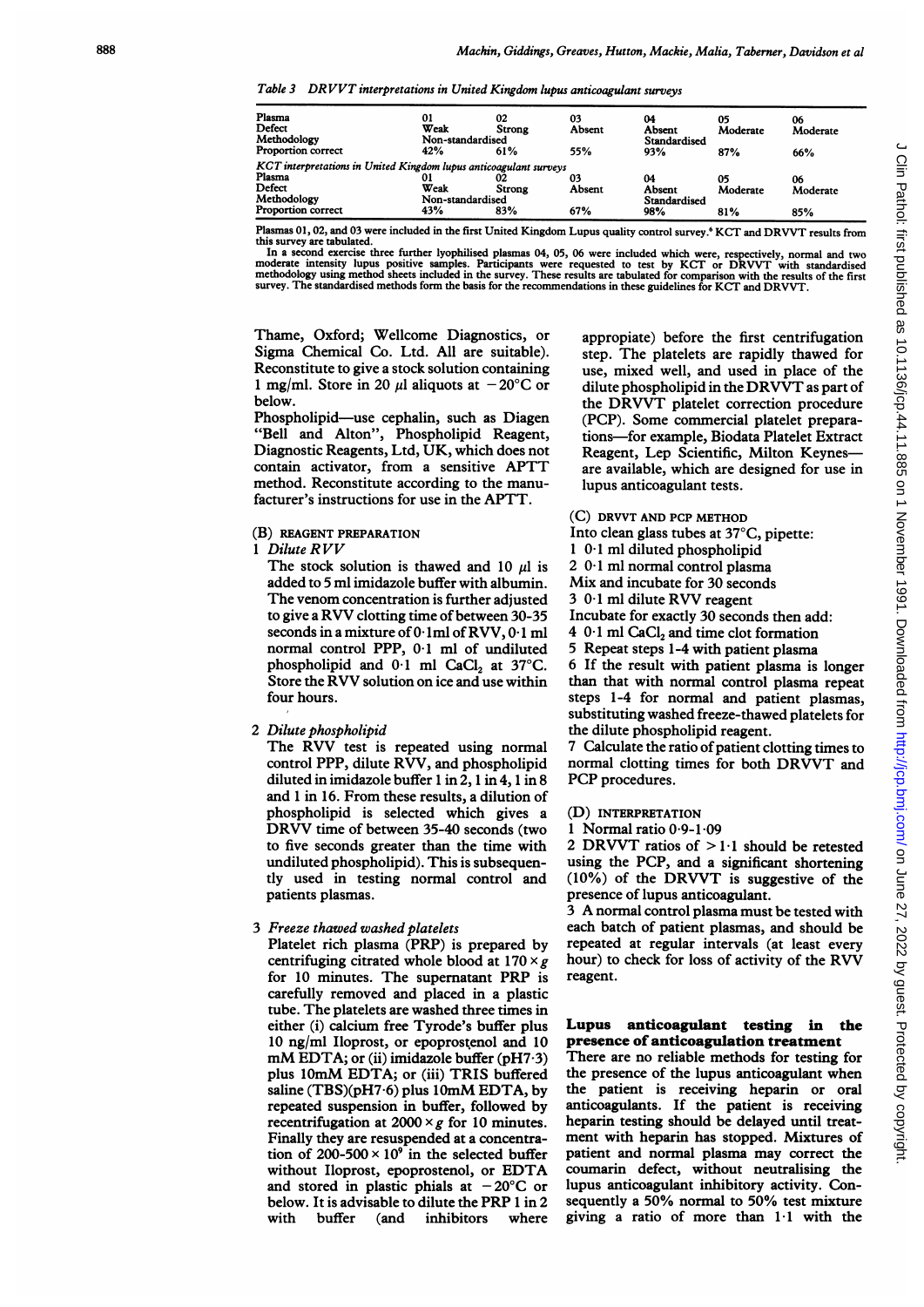Table <sup>3</sup> DR VVT interpretations in United Kingdom lupus anticoagulant surveys

| Plasma                                                            | 01               | 02     | 03     | 04           | 05       | 06       |
|-------------------------------------------------------------------|------------------|--------|--------|--------------|----------|----------|
| Defect                                                            | Weak             | Strong | Absent | Absent       | Moderate | Moderate |
| Methodology                                                       | Non-standardised |        |        | Standardised |          |          |
| <b>Proportion correct</b>                                         | 42%              | 61%    | 55%    | 93%          | 87%      | 66%      |
| KCT interpretations in United Kingdom lupus anticoagulant surveys |                  |        |        |              |          |          |
| Plasma                                                            |                  | 02     | 03     | 04           | 05       | 06       |
| Defect                                                            | Weak             | Strong | Absent | Absent       | Moderate | Moderate |
| Methodology                                                       | Non-standardised |        |        | Standardised |          |          |
| <b>Proportion correct</b>                                         | 43%              | 83%    | 67%    | 98%          | 81%      | 85%      |

Plasmas 01, 02, and 03 were included in the first United Kingdom Lupus quality control survey.<sup>6</sup> KCT and DRVVT results from<br>this survey are tabulated.

this survey are tabulated.<br>In a second exercise three further lyophilised plasmas 04, 05, 06 were included which were, respectively, normal and two<br>moderate intensity lupus positive samples. Participants were requested to survey. The standardised methods fonn the basis for the recommendations in these guidelines for KCT and DRVVT.

Thame, Oxford; Wellcome Diagnostics, or Sigma Chemical Co. Ltd. All are suitable). Reconstitute to give a stock solution containing 1 mg/ml. Store in 20  $\mu$ l aliquots at  $-20^{\circ}$ C or below.

Phospholipid-use cephalin, such as Diagen "Bell and Alton", Phospholipid Reagent, Diagnostic Reagents, Ltd, UK, which does not contain activator, from <sup>a</sup> sensitive APTT method. Reconstitute according to the manufacturer's instructions for use in the APTT.

#### (B) REAGENT PREPARATION

<sup>1</sup> Dilute RVV

The stock solution is thawed and 10  $\mu$ l is added to 5 ml imidazole buffer with albumin. The venom concentration is further adjusted to give <sup>a</sup> RVV clotting time of between 30-35 seconds in <sup>a</sup> mixture of0- lml of RVV, 0-1 ml normal control PPP, 0-1 ml of undiluted phospholipid and  $0.1$  ml CaCl<sub>2</sub> at 37°C. Store the RVV solution on ice and use within four hours.

# 2 Dilute phospholipid

The RVV test is repeated using normal control PPP, dilute RVV, and phospholipid diluted in imidazole buffer <sup>1</sup> in 2, <sup>1</sup> in 4, 1 in 8 and <sup>1</sup> in 16. From these results, a dilution of phospholipid is selected which gives a DRVV time of between 35-40 seconds (two to five seconds greater than the time with undiluted phospholipid). This is subsequently used in testing normal control and patients plasmas.

## 3 Freeze thawed washed platelets

Platelet rich plasma (PRP) is prepared by centrifuging citrated whole blood at  $170 \times g$ for <sup>10</sup> minutes. The supematant PRP is carefully removed and placed in a plastic tube. The platelets are washed three times in either (i) calcium free Tyrode's buffer plus 10 ng/ml Iloprost, or epoprostenol and 10  $mM$  EDTA; or (ii) imidazole buffer (pH7 $\cdot$ 3) plus 10mM EDTA; or (iii) TRIS buffered saline (TBS)(pH7.6) plus 10mM EDTA, by repeated suspension in buffer, followed by recentrifugation at  $2000 \times g$  for 10 minutes. Finally they are resuspended at a concentration of  $200-500 \times 10^9$  in the selected buffer without Iloprost, epoprostenol, or EDTA and stored in plastic phials at  $-20^{\circ}$ C or below. It is advisable to dilute the PRP 1 in 2 with buffer (and inhibitors where

appropiate) before the first centrifugation step. The platelets are rapidly thawed for use, mixed well, and used in place of the dilute phospholipid in the DRVVT as part of the DRWT platelet correction procedure (PCP). Some commercial platelet preparations-for example, Biodata Platelet Extract Reagent, Lep Scientific, Milton Keynesare available, which are designed for use in lupus anticoagulant tests.

#### (C) DRVVT AND PCP METHOD

- Into clean glass tubes at 37°C, pipette:
- <sup>1</sup> 0-1 ml diluted phospholipid
- 2 0-1 ml normal control plasma
- Mix and incubate for 30 seconds
- <sup>3</sup> 0-1 ml dilute RVV reagent
- Incubate for exactly 30 seconds then add:
- $4 \ 0.1 \text{ ml }$  CaCl<sub>2</sub> and time clot formation
- 5 Repeat steps 1-4 with patient plasma

6 If the result with patient plasma is longer than that with normal control plasma repeat steps 1-4 for normal and patient plasmas, substituting washed freeze-thawed platelets for the dilute phospholipid reagent.

7 Calculate the ratio of patient clotting times to normal clotting times for both DRWT and PCP procedures.

(D) INTERPRETATION

### <sup>1</sup> Normal ratio 0-9-1-09

2 DRVVT ratios of  $>1.1$  should be retested using the PCP, and a significant shortening (10%) of the DRWT is suggestive of the presence of lupus anticoagulant.

<sup>3</sup> A normal control plasma must be tested with each batch of patient plasmas, and should be repeated at regular intervals (at least every hour) to check for loss of activity of the RVV reagent.

# Lupus anticoagulant testing in the presence of anticoagulation treatment

There are no reliable methods for testing for the presence of the lupus anticoagulant when the patient is receiving heparin or oral anticoagulants. If the patient is receiving heparin testing should be delayed until treatment with heparin has stopped. Mixtures of patient and normal plasma may correct the coumarin defect, without neutralising the lupus anticoagulant inhibitory activity. Consequently <sup>a</sup> 50% normal to 50% test mixture giving a ratio of more than 1.1 with the